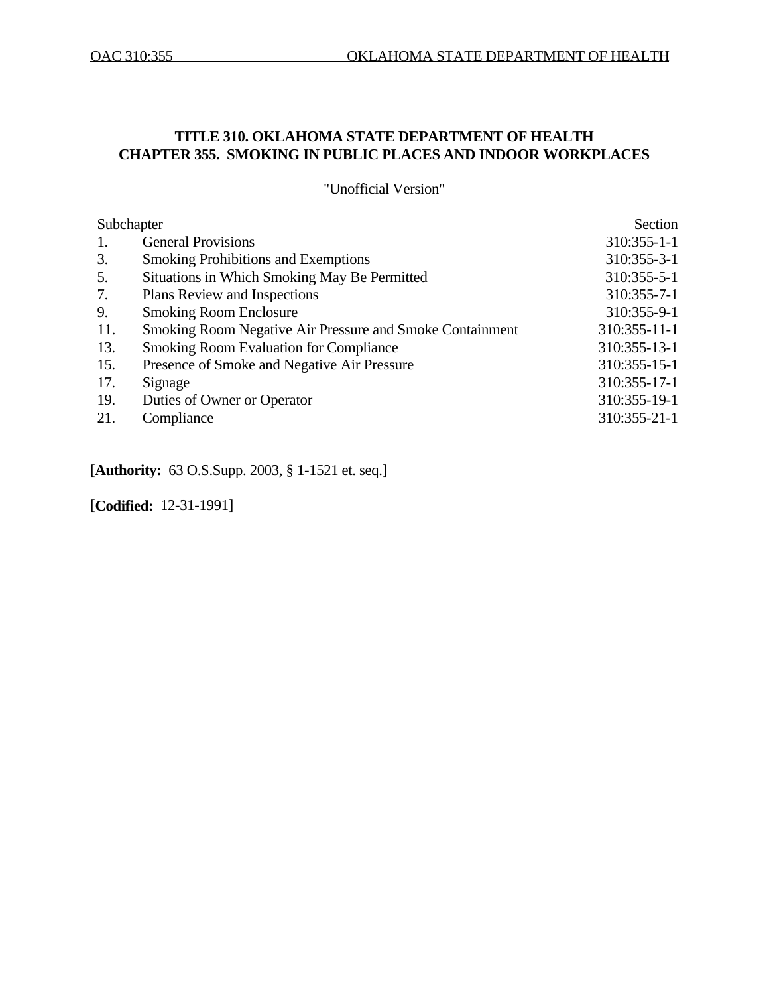# **TITLE 310. OKLAHOMA STATE DEPARTMENT OF HEALTH CHAPTER 355. SMOKING IN PUBLIC PLACES AND INDOOR WORKPLACES**

"Unofficial Version"

| Subchapter |                                                                 | Section       |
|------------|-----------------------------------------------------------------|---------------|
| 1.         | <b>General Provisions</b>                                       | $310:355-1-1$ |
| 3.         | <b>Smoking Prohibitions and Exemptions</b>                      | 310:355-3-1   |
| 5.         | Situations in Which Smoking May Be Permitted                    | 310:355-5-1   |
| 7.         | Plans Review and Inspections                                    | 310:355-7-1   |
| 9.         | <b>Smoking Room Enclosure</b>                                   | 310:355-9-1   |
| 11.        | <b>Smoking Room Negative Air Pressure and Smoke Containment</b> | 310:355-11-1  |
| 13.        | <b>Smoking Room Evaluation for Compliance</b>                   | 310:355-13-1  |
| 15.        | Presence of Smoke and Negative Air Pressure                     | 310:355-15-1  |
| 17.        | Signage                                                         | 310:355-17-1  |
| 19.        | Duties of Owner or Operator                                     | 310:355-19-1  |
| 21.        | Compliance                                                      | 310:355-21-1  |
|            |                                                                 |               |

[**Authority:** 63 O.S.Supp. 2003, § 1-1521 et. seq.]

[**Codified:** 12-31-1991]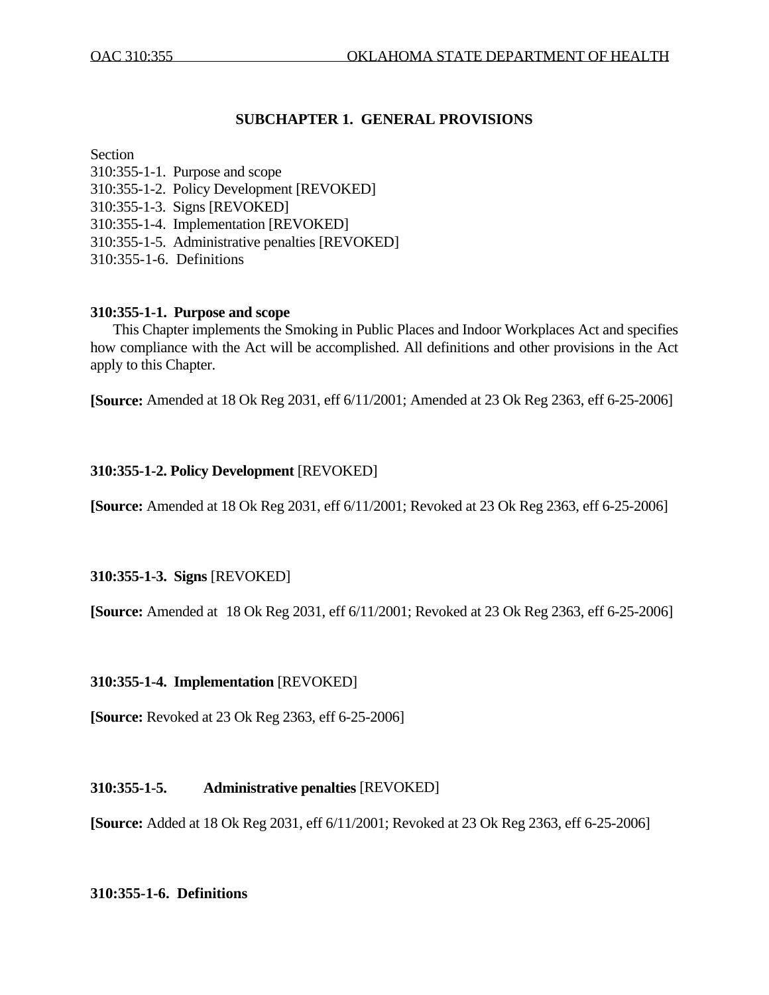# **SUBCHAPTER 1. GENERAL PROVISIONS**

### Section

310:355-1-1. Purpose and scope 310:355-1-2. Policy Development [REVOKED] 310:355-1-3. Signs [REVOKED] 310:355-1-4. Implementation [REVOKED] 310:355-1-5. Administrative penalties [REVOKED] 310:355-1-6. Definitions

## **310:355-1-1. Purpose and scope**

 This Chapter implements the Smoking in Public Places and Indoor Workplaces Act and specifies how compliance with the Act will be accomplished. All definitions and other provisions in the Act apply to this Chapter.

**[Source:** Amended at 18 Ok Reg 2031, eff 6/11/2001; Amended at 23 Ok Reg 2363, eff 6-25-2006]

## **310:355-1-2. Policy Development** [REVOKED]

**[Source:** Amended at 18 Ok Reg 2031, eff 6/11/2001; Revoked at 23 Ok Reg 2363, eff 6-25-2006]

## **310:355-1-3. Signs** [REVOKED]

**[Source:** Amended at 18 Ok Reg 2031, eff 6/11/2001; Revoked at 23 Ok Reg 2363, eff 6-25-2006]

## **310:355-1-4. Implementation** [REVOKED]

**[Source:** Revoked at 23 Ok Reg 2363, eff 6-25-2006]

## **310:355-1-5. Administrative penalties** [REVOKED]

**[Source:** Added at 18 Ok Reg 2031, eff 6/11/2001; Revoked at 23 Ok Reg 2363, eff 6-25-2006]

## **310:355-1-6. Definitions**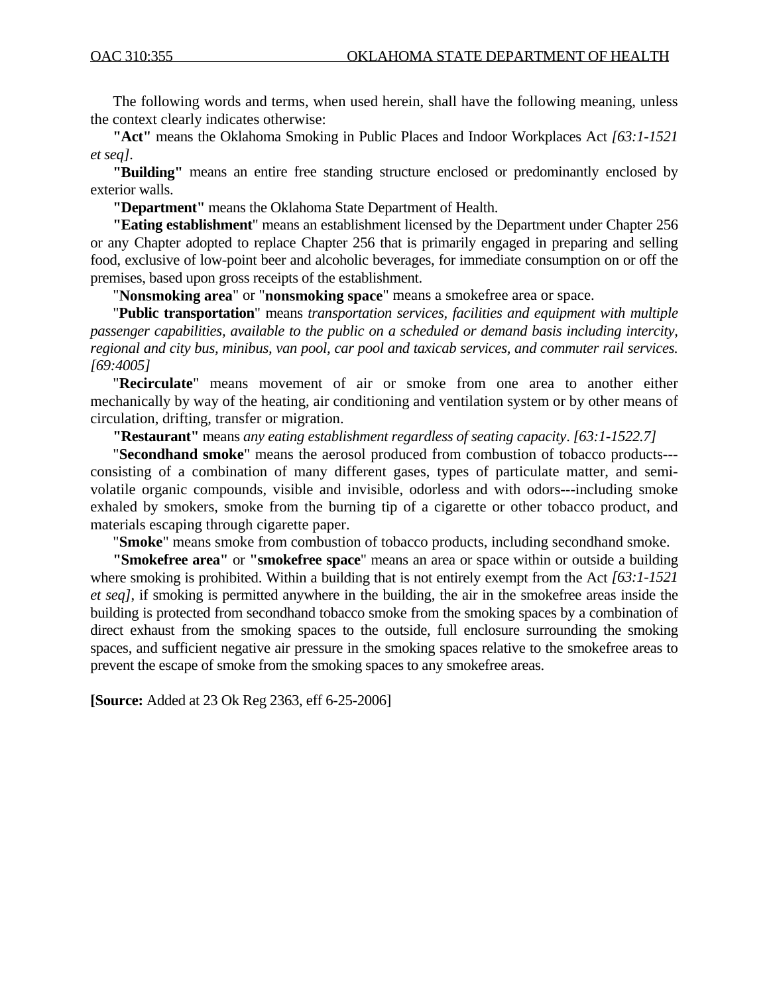The following words and terms, when used herein, shall have the following meaning, unless the context clearly indicates otherwise:

 **"Act"** means the Oklahoma Smoking in Public Places and Indoor Workplaces Act *[63:1-1521 et seq].* 

 **"Building"** means an entire free standing structure enclosed or predominantly enclosed by exterior walls.

 **"Department"** means the Oklahoma State Department of Health.

 **"Eating establishment**" means an establishment licensed by the Department under Chapter 256 or any Chapter adopted to replace Chapter 256 that is primarily engaged in preparing and selling food, exclusive of low-point beer and alcoholic beverages, for immediate consumption on or off the premises, based upon gross receipts of the establishment.

"**Nonsmoking area**" or "**nonsmoking space**" means a smokefree area or space.

 "**Public transportation**" means *transportation services, facilities and equipment with multiple passenger capabilities, available to the public on a scheduled or demand basis including intercity, regional and city bus, minibus, van pool, car pool and taxicab services, and commuter rail services. [69:4005]*

"**Recirculate**" means movement of air or smoke from one area to another either mechanically by way of the heating, air conditioning and ventilation system or by other means of circulation, drifting, transfer or migration.

 **"Restaurant"** means *any eating establishment regardless of seating capacity*. *[63:1-1522.7]* 

"**Secondhand smoke**" means the aerosol produced from combustion of tobacco products-- consisting of a combination of many different gases, types of particulate matter, and semivolatile organic compounds, visible and invisible, odorless and with odors---including smoke exhaled by smokers, smoke from the burning tip of a cigarette or other tobacco product, and materials escaping through cigarette paper.

"**Smoke**" means smoke from combustion of tobacco products, including secondhand smoke.

**"Smokefree area"** or **"smokefree space**" means an area or space within or outside a building where smoking is prohibited. Within a building that is not entirely exempt from the Act *[63:1-1521 et seq]*, if smoking is permitted anywhere in the building, the air in the smokefree areas inside the building is protected from secondhand tobacco smoke from the smoking spaces by a combination of direct exhaust from the smoking spaces to the outside, full enclosure surrounding the smoking spaces, and sufficient negative air pressure in the smoking spaces relative to the smokefree areas to prevent the escape of smoke from the smoking spaces to any smokefree areas.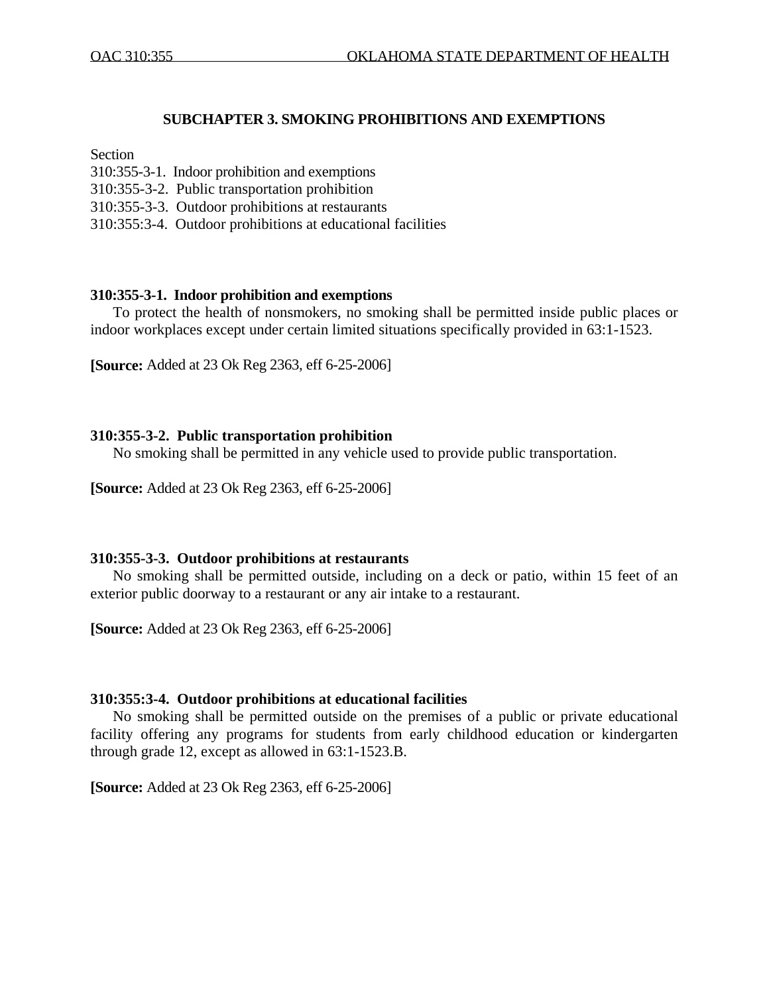### **SUBCHAPTER 3. SMOKING PROHIBITIONS AND EXEMPTIONS**

### Section

- 310:355-3-1. Indoor prohibition and exemptions
- 310:355-3-2. Public transportation prohibition
- 310:355-3-3. Outdoor prohibitions at restaurants
- 310:355:3-4. Outdoor prohibitions at educational facilities

#### **310:355-3-1. Indoor prohibition and exemptions**

 To protect the health of nonsmokers, no smoking shall be permitted inside public places or indoor workplaces except under certain limited situations specifically provided in 63:1-1523.

**[Source:** Added at 23 Ok Reg 2363, eff 6-25-2006]

#### **310:355-3-2. Public transportation prohibition**

No smoking shall be permitted in any vehicle used to provide public transportation.

**[Source:** Added at 23 Ok Reg 2363, eff 6-25-2006]

#### **310:355-3-3. Outdoor prohibitions at restaurants**

 No smoking shall be permitted outside, including on a deck or patio, within 15 feet of an exterior public doorway to a restaurant or any air intake to a restaurant.

**[Source:** Added at 23 Ok Reg 2363, eff 6-25-2006]

#### **310:355:3-4. Outdoor prohibitions at educational facilities**

 No smoking shall be permitted outside on the premises of a public or private educational facility offering any programs for students from early childhood education or kindergarten through grade 12, except as allowed in 63:1-1523.B.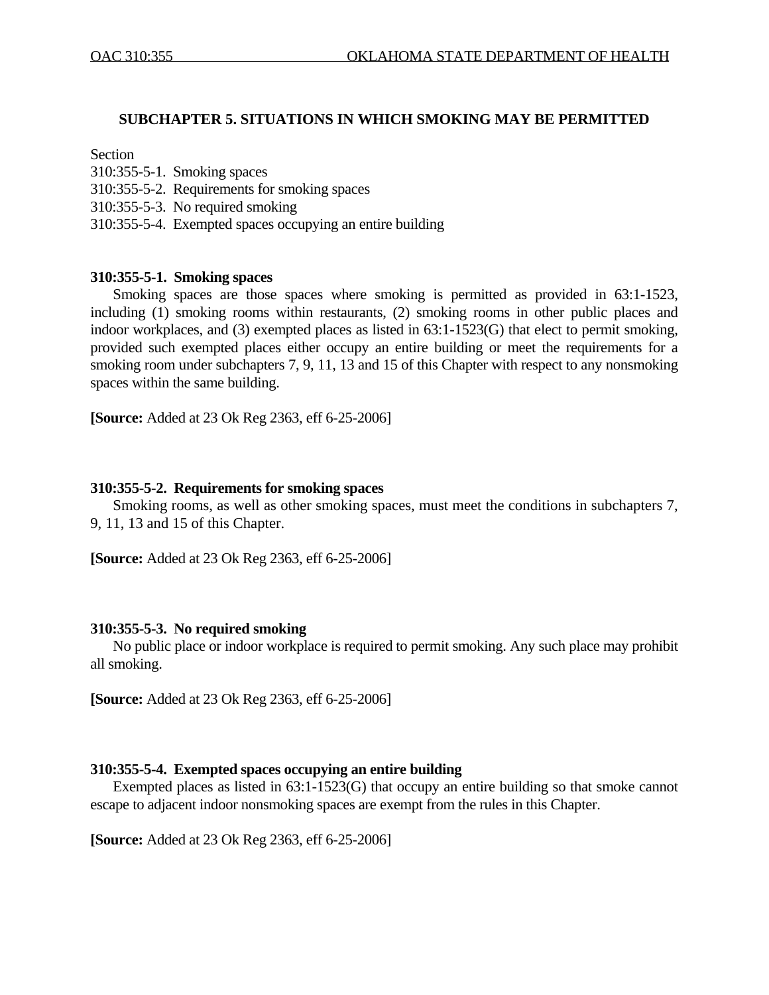### **SUBCHAPTER 5. SITUATIONS IN WHICH SMOKING MAY BE PERMITTED**

### Section

- 310:355-5-1. Smoking spaces
- 310:355-5-2. Requirements for smoking spaces
- 310:355-5-3. No required smoking
- 310:355-5-4. Exempted spaces occupying an entire building

### **310:355-5-1. Smoking spaces**

 Smoking spaces are those spaces where smoking is permitted as provided in 63:1-1523, including (1) smoking rooms within restaurants, (2) smoking rooms in other public places and indoor workplaces, and (3) exempted places as listed in 63:1-1523(G) that elect to permit smoking, provided such exempted places either occupy an entire building or meet the requirements for a smoking room under subchapters 7, 9, 11, 13 and 15 of this Chapter with respect to any nonsmoking spaces within the same building.

**[Source:** Added at 23 Ok Reg 2363, eff 6-25-2006]

### **310:355-5-2. Requirements for smoking spaces**

 Smoking rooms, as well as other smoking spaces, must meet the conditions in subchapters 7, 9, 11, 13 and 15 of this Chapter.

**[Source:** Added at 23 Ok Reg 2363, eff 6-25-2006]

### **310:355-5-3. No required smoking**

 No public place or indoor workplace is required to permit smoking. Any such place may prohibit all smoking.

**[Source:** Added at 23 Ok Reg 2363, eff 6-25-2006]

### **310:355-5-4. Exempted spaces occupying an entire building**

Exempted places as listed in  $63:1-1523(G)$  that occupy an entire building so that smoke cannot escape to adjacent indoor nonsmoking spaces are exempt from the rules in this Chapter.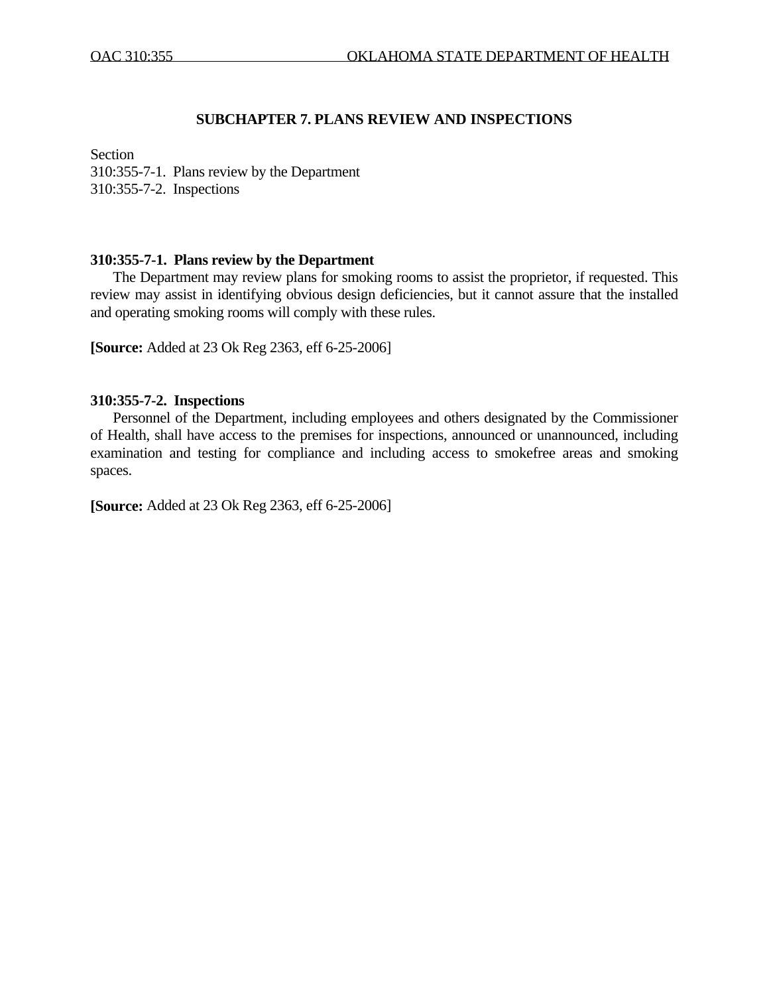## **SUBCHAPTER 7. PLANS REVIEW AND INSPECTIONS**

Section

310:355-7-1. Plans review by the Department 310:355-7-2. Inspections

# **310:355-7-1. Plans review by the Department**

 The Department may review plans for smoking rooms to assist the proprietor, if requested. This review may assist in identifying obvious design deficiencies, but it cannot assure that the installed and operating smoking rooms will comply with these rules.

**[Source:** Added at 23 Ok Reg 2363, eff 6-25-2006]

### **310:355-7-2. Inspections**

 Personnel of the Department, including employees and others designated by the Commissioner of Health, shall have access to the premises for inspections, announced or unannounced, including examination and testing for compliance and including access to smokefree areas and smoking spaces.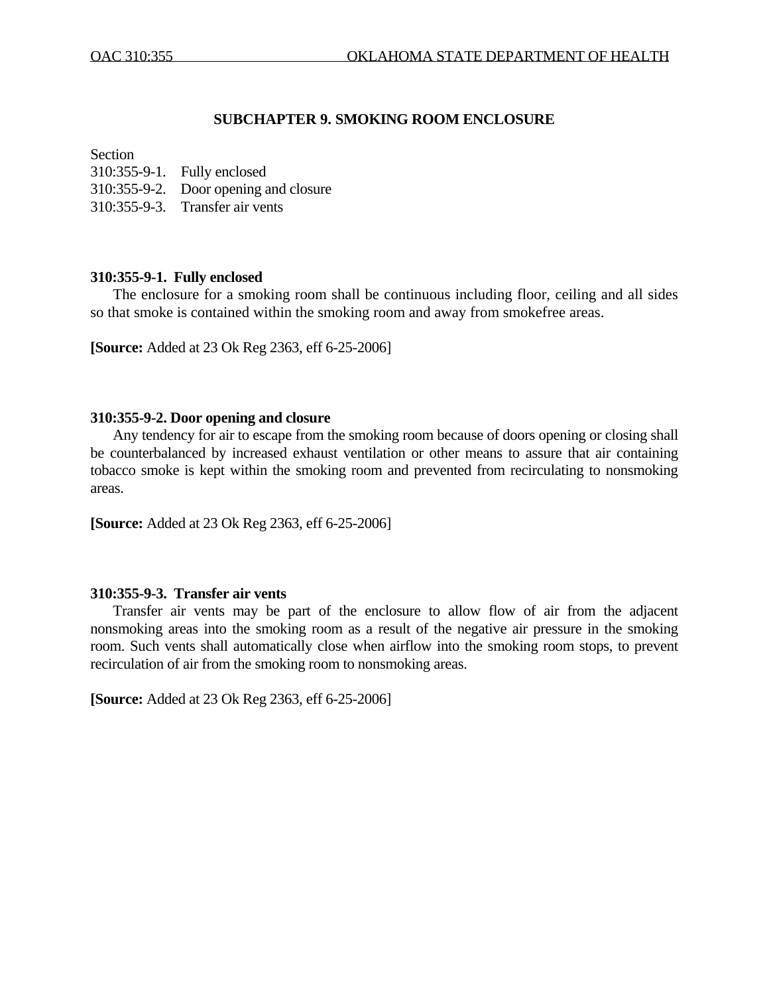## **SUBCHAPTER 9. SMOKING ROOM ENCLOSURE**

#### **Section**

310:355-9-1. Fully enclosed 310:355-9-2. Door opening and closure 310:355-9-3. Transfer air vents

## **310:355-9-1. Fully enclosed**

 The enclosure for a smoking room shall be continuous including floor, ceiling and all sides so that smoke is contained within the smoking room and away from smokefree areas.

**[Source:** Added at 23 Ok Reg 2363, eff 6-25-2006]

### **310:355-9-2. Door opening and closure**

 Any tendency for air to escape from the smoking room because of doors opening or closing shall be counterbalanced by increased exhaust ventilation or other means to assure that air containing tobacco smoke is kept within the smoking room and prevented from recirculating to nonsmoking areas.

**[Source:** Added at 23 Ok Reg 2363, eff 6-25-2006]

## **310:355-9-3. Transfer air vents**

Transfer air vents may be part of the enclosure to allow flow of air from the adjacent nonsmoking areas into the smoking room as a result of the negative air pressure in the smoking room. Such vents shall automatically close when airflow into the smoking room stops, to prevent recirculation of air from the smoking room to nonsmoking areas.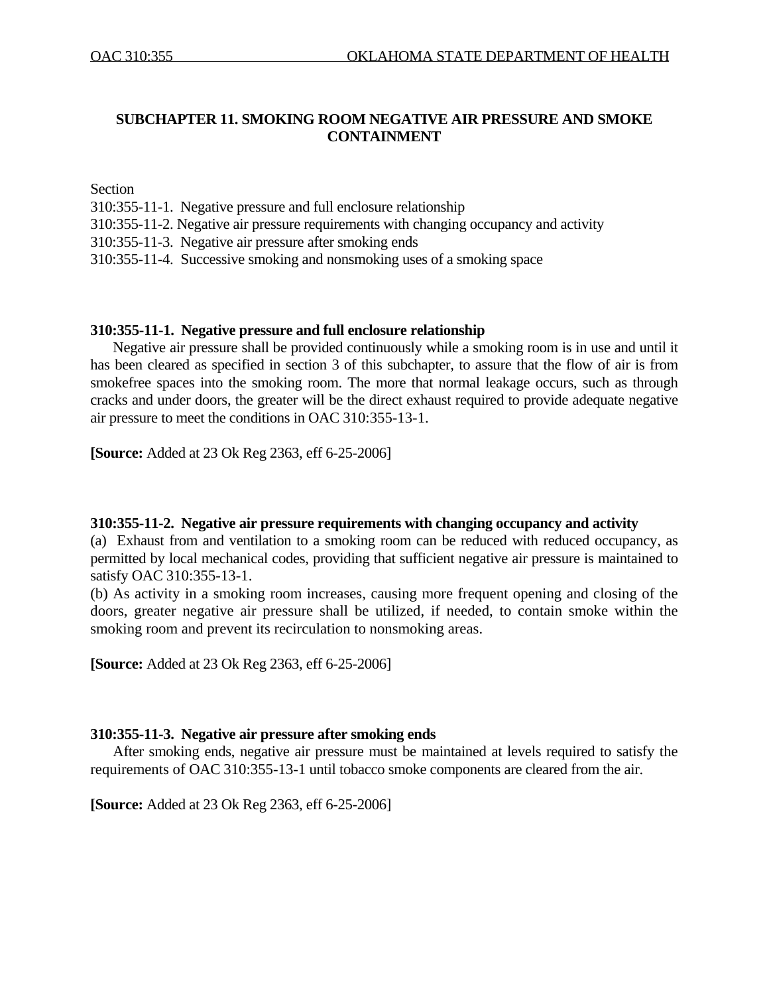# **SUBCHAPTER 11. SMOKING ROOM NEGATIVE AIR PRESSURE AND SMOKE CONTAINMENT**

**Section** 

- 310:355-11-1. Negative pressure and full enclosure relationship
- 310:355-11-2. Negative air pressure requirements with changing occupancy and activity
- 310:355-11-3. Negative air pressure after smoking ends
- 310:355-11-4. Successive smoking and nonsmoking uses of a smoking space

### **310:355-11-1. Negative pressure and full enclosure relationship**

 Negative air pressure shall be provided continuously while a smoking room is in use and until it has been cleared as specified in section 3 of this subchapter, to assure that the flow of air is from smokefree spaces into the smoking room. The more that normal leakage occurs, such as through cracks and under doors, the greater will be the direct exhaust required to provide adequate negative air pressure to meet the conditions in OAC 310:355-13-1.

**[Source:** Added at 23 Ok Reg 2363, eff 6-25-2006]

### **310:355-11-2. Negative air pressure requirements with changing occupancy and activity**

(a) Exhaust from and ventilation to a smoking room can be reduced with reduced occupancy, as permitted by local mechanical codes, providing that sufficient negative air pressure is maintained to satisfy OAC 310:355-13-1.

(b) As activity in a smoking room increases, causing more frequent opening and closing of the doors, greater negative air pressure shall be utilized, if needed, to contain smoke within the smoking room and prevent its recirculation to nonsmoking areas.

**[Source:** Added at 23 Ok Reg 2363, eff 6-25-2006]

## **310:355-11-3. Negative air pressure after smoking ends**

After smoking ends, negative air pressure must be maintained at levels required to satisfy the requirements of OAC 310:355-13-1 until tobacco smoke components are cleared from the air.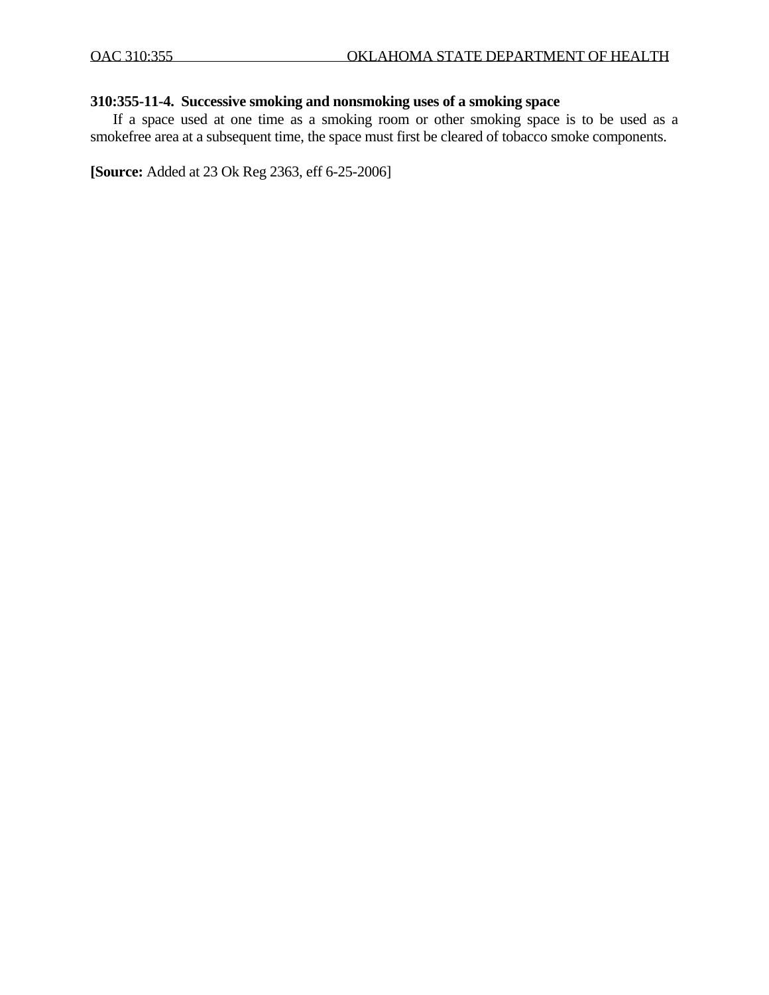# **310:355-11-4. Successive smoking and nonsmoking uses of a smoking space**

If a space used at one time as a smoking room or other smoking space is to be used as a smokefree area at a subsequent time, the space must first be cleared of tobacco smoke components.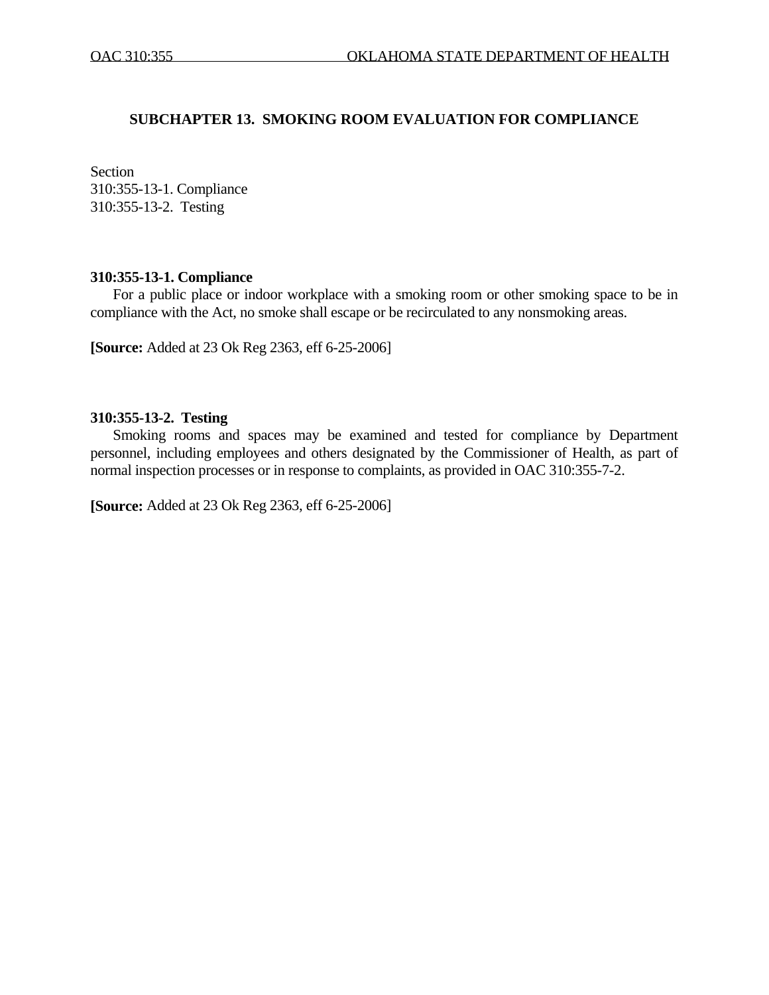## **SUBCHAPTER 13. SMOKING ROOM EVALUATION FOR COMPLIANCE**

Section 310:355-13-1. Compliance 310:355-13-2. Testing

### **310:355-13-1. Compliance**

For a public place or indoor workplace with a smoking room or other smoking space to be in compliance with the Act, no smoke shall escape or be recirculated to any nonsmoking areas.

**[Source:** Added at 23 Ok Reg 2363, eff 6-25-2006]

### **310:355-13-2. Testing**

 Smoking rooms and spaces may be examined and tested for compliance by Department personnel, including employees and others designated by the Commissioner of Health, as part of normal inspection processes or in response to complaints, as provided in OAC 310:355-7-2.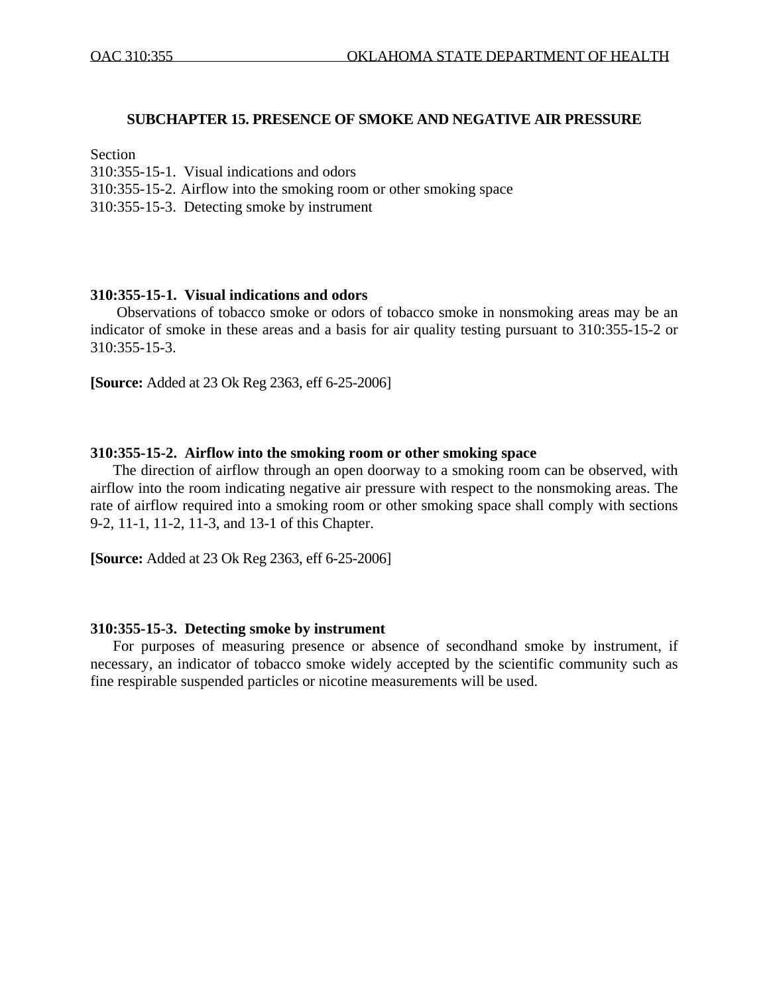### **SUBCHAPTER 15. PRESENCE OF SMOKE AND NEGATIVE AIR PRESSURE**

### Section

- 310:355-15-1. Visual indications and odors
- 310:355-15-2. Airflow into the smoking room or other smoking space
- 310:355-15-3. Detecting smoke by instrument

#### **310:355-15-1. Visual indications and odors**

 Observations of tobacco smoke or odors of tobacco smoke in nonsmoking areas may be an indicator of smoke in these areas and a basis for air quality testing pursuant to 310:355-15-2 or 310:355-15-3.

**[Source:** Added at 23 Ok Reg 2363, eff 6-25-2006]

#### **310:355-15-2. Airflow into the smoking room or other smoking space**

The direction of airflow through an open doorway to a smoking room can be observed, with airflow into the room indicating negative air pressure with respect to the nonsmoking areas. The rate of airflow required into a smoking room or other smoking space shall comply with sections 9-2, 11-1, 11-2, 11-3, and 13-1 of this Chapter.

**[Source:** Added at 23 Ok Reg 2363, eff 6-25-2006]

#### **310:355-15-3. Detecting smoke by instrument**

For purposes of measuring presence or absence of secondhand smoke by instrument, if necessary, an indicator of tobacco smoke widely accepted by the scientific community such as fine respirable suspended particles or nicotine measurements will be used.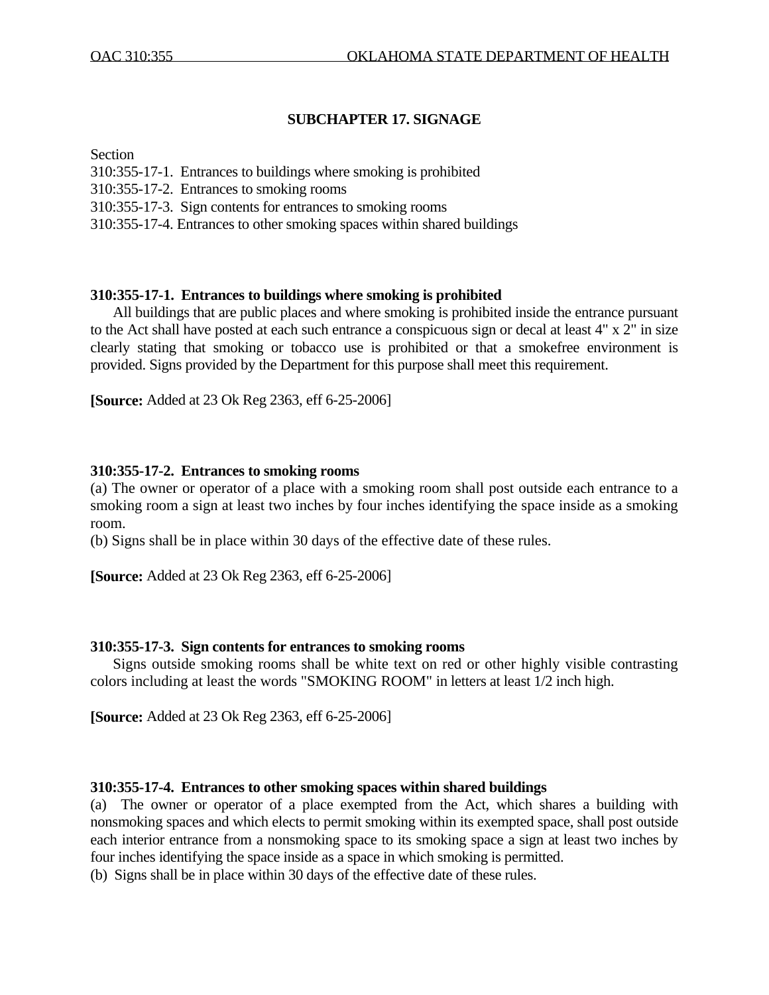# **SUBCHAPTER 17. SIGNAGE**

### Section

- 310:355-17-1. Entrances to buildings where smoking is prohibited
- 310:355-17-2. Entrances to smoking rooms
- 310:355-17-3. Sign contents for entrances to smoking rooms
- 310:355-17-4. Entrances to other smoking spaces within shared buildings

# **310:355-17-1. Entrances to buildings where smoking is prohibited**

 All buildings that are public places and where smoking is prohibited inside the entrance pursuant to the Act shall have posted at each such entrance a conspicuous sign or decal at least 4" x 2" in size clearly stating that smoking or tobacco use is prohibited or that a smokefree environment is provided. Signs provided by the Department for this purpose shall meet this requirement.

**[Source:** Added at 23 Ok Reg 2363, eff 6-25-2006]

# **310:355-17-2. Entrances to smoking rooms**

(a) The owner or operator of a place with a smoking room shall post outside each entrance to a smoking room a sign at least two inches by four inches identifying the space inside as a smoking room.

(b) Signs shall be in place within 30 days of the effective date of these rules.

**[Source:** Added at 23 Ok Reg 2363, eff 6-25-2006]

## **310:355-17-3. Sign contents for entrances to smoking rooms**

 Signs outside smoking rooms shall be white text on red or other highly visible contrasting colors including at least the words "SMOKING ROOM" in letters at least 1/2 inch high.

**[Source:** Added at 23 Ok Reg 2363, eff 6-25-2006]

## **310:355-17-4. Entrances to other smoking spaces within shared buildings**

(a) The owner or operator of a place exempted from the Act, which shares a building with nonsmoking spaces and which elects to permit smoking within its exempted space, shall post outside each interior entrance from a nonsmoking space to its smoking space a sign at least two inches by four inches identifying the space inside as a space in which smoking is permitted.

(b) Signs shall be in place within 30 days of the effective date of these rules.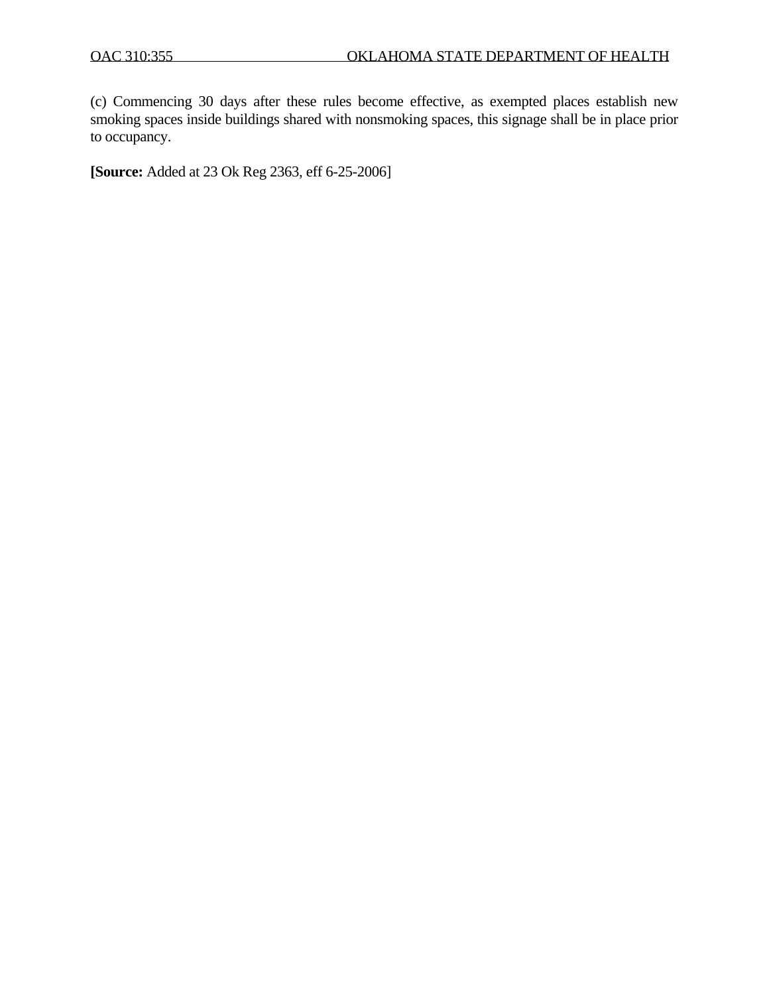(c) Commencing 30 days after these rules become effective, as exempted places establish new smoking spaces inside buildings shared with nonsmoking spaces, this signage shall be in place prior to occupancy.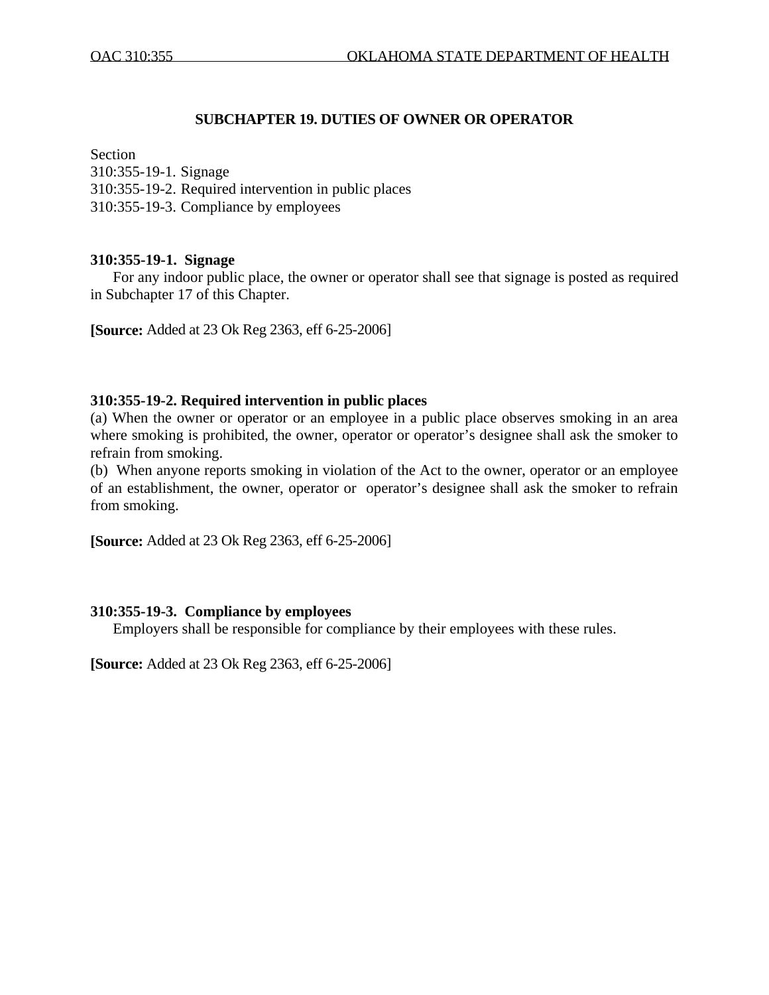# **SUBCHAPTER 19. DUTIES OF OWNER OR OPERATOR**

### Section

310:355-19-1. Signage 310:355-19-2. Required intervention in public places 310:355-19-3. Compliance by employees

# **310:355-19-1. Signage**

 For any indoor public place, the owner or operator shall see that signage is posted as required in Subchapter 17 of this Chapter.

**[Source:** Added at 23 Ok Reg 2363, eff 6-25-2006]

## **310:355-19-2. Required intervention in public places**

(a) When the owner or operator or an employee in a public place observes smoking in an area where smoking is prohibited, the owner, operator or operator's designee shall ask the smoker to refrain from smoking.

(b) When anyone reports smoking in violation of the Act to the owner, operator or an employee of an establishment, the owner, operator or operator's designee shall ask the smoker to refrain from smoking.

**[Source:** Added at 23 Ok Reg 2363, eff 6-25-2006]

## **310:355-19-3. Compliance by employees**

Employers shall be responsible for compliance by their employees with these rules.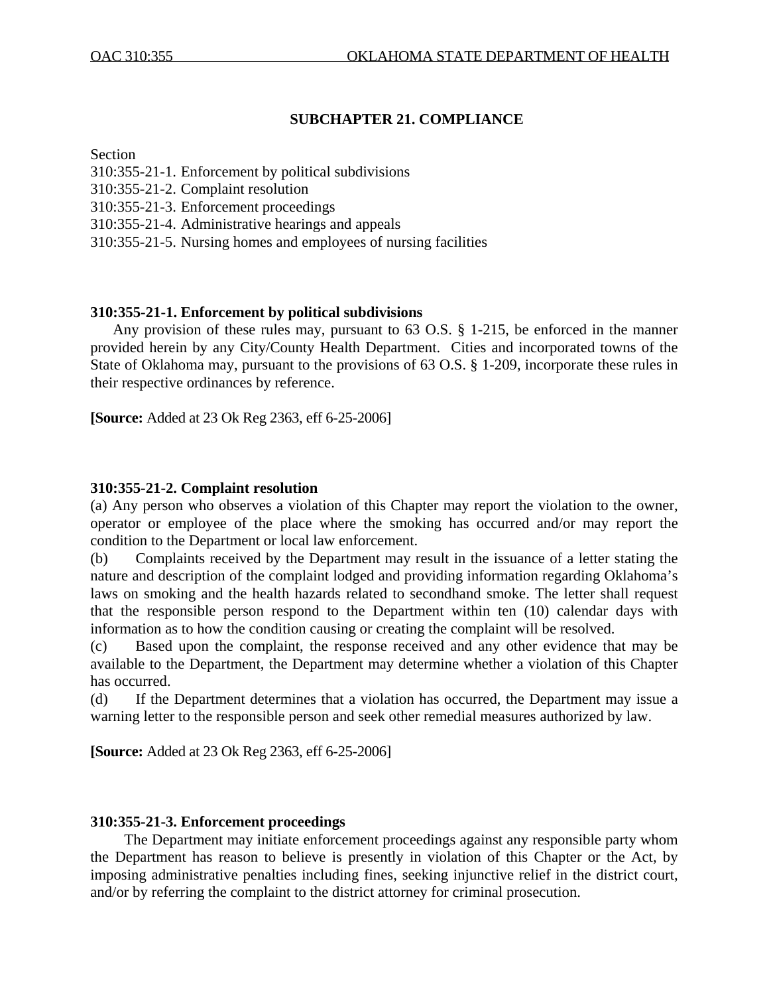# **SUBCHAPTER 21. COMPLIANCE**

### Section

- 310:355-21-1. Enforcement by political subdivisions
- 310:355-21-2. Complaint resolution
- 310:355-21-3. Enforcement proceedings
- 310:355-21-4. Administrative hearings and appeals
- 310:355-21-5. Nursing homes and employees of nursing facilities

# **310:355-21-1. Enforcement by political subdivisions**

 Any provision of these rules may, pursuant to 63 O.S. § 1-215, be enforced in the manner provided herein by any City/County Health Department. Cities and incorporated towns of the State of Oklahoma may, pursuant to the provisions of 63 O.S. § 1-209, incorporate these rules in their respective ordinances by reference.

**[Source:** Added at 23 Ok Reg 2363, eff 6-25-2006]

# **310:355-21-2. Complaint resolution**

(a) Any person who observes a violation of this Chapter may report the violation to the owner, operator or employee of the place where the smoking has occurred and/or may report the condition to the Department or local law enforcement.

(b) Complaints received by the Department may result in the issuance of a letter stating the nature and description of the complaint lodged and providing information regarding Oklahoma's laws on smoking and the health hazards related to secondhand smoke. The letter shall request that the responsible person respond to the Department within ten (10) calendar days with information as to how the condition causing or creating the complaint will be resolved.

(c) Based upon the complaint, the response received and any other evidence that may be available to the Department, the Department may determine whether a violation of this Chapter has occurred.

(d) If the Department determines that a violation has occurred, the Department may issue a warning letter to the responsible person and seek other remedial measures authorized by law.

**[Source:** Added at 23 Ok Reg 2363, eff 6-25-2006]

## **310:355-21-3. Enforcement proceedings**

 The Department may initiate enforcement proceedings against any responsible party whom the Department has reason to believe is presently in violation of this Chapter or the Act, by imposing administrative penalties including fines, seeking injunctive relief in the district court, and/or by referring the complaint to the district attorney for criminal prosecution.